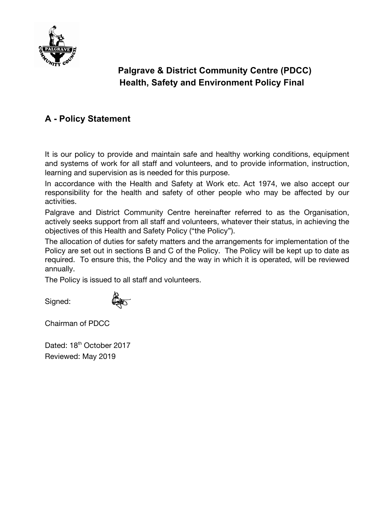

# **Palgrave & District Community Centre (PDCC) Health, Safety and Environment Policy Final**

# **A - Policy Statement**

It is our policy to provide and maintain safe and healthy working conditions, equipment and systems of work for all staff and volunteers, and to provide information, instruction, learning and supervision as is needed for this purpose.

In accordance with the Health and Safety at Work etc. Act 1974, we also accept our responsibility for the health and safety of other people who may be affected by our activities.

Palgrave and District Community Centre hereinafter referred to as the Organisation, actively seeks support from all staff and volunteers, whatever their status, in achieving the objectives of this Health and Safety Policy ("the Policy").

The allocation of duties for safety matters and the arrangements for implementation of the Policy are set out in sections B and C of the Policy. The Policy will be kept up to date as required. To ensure this, the Policy and the way in which it is operated, will be reviewed annually.

The Policy is issued to all staff and volunteers.

Signed:



Chairman of PDCC

Dated: 18<sup>th</sup> October 2017 Reviewed: May 2019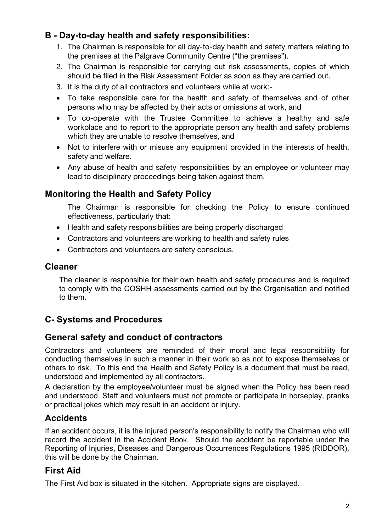# **B - Day-to-day health and safety responsibilities:**

- 1. The Chairman is responsible for all day-to-day health and safety matters relating to the premises at the Palgrave Community Centre ("the premises").
- 2. The Chairman is responsible for carrying out risk assessments, copies of which should be filed in the Risk Assessment Folder as soon as they are carried out.
- 3. It is the duty of all contractors and volunteers while at work:-
- To take responsible care for the health and safety of themselves and of other persons who may be affected by their acts or omissions at work, and
- To co-operate with the Trustee Committee to achieve a healthy and safe workplace and to report to the appropriate person any health and safety problems which they are unable to resolve themselves, and
- Not to interfere with or misuse any equipment provided in the interests of health, safety and welfare.
- Any abuse of health and safety responsibilities by an employee or volunteer may lead to disciplinary proceedings being taken against them.

## **Monitoring the Health and Safety Policy**

The Chairman is responsible for checking the Policy to ensure continued effectiveness, particularly that:

- Health and safety responsibilities are being properly discharged
- Contractors and volunteers are working to health and safety rules
- Contractors and volunteers are safety conscious.

#### **Cleaner**

The cleaner is responsible for their own health and safety procedures and is required to comply with the COSHH assessments carried out by the Organisation and notified to them.

# **C- Systems and Procedures**

## **General safety and conduct of contractors**

Contractors and volunteers are reminded of their moral and legal responsibility for conducting themselves in such a manner in their work so as not to expose themselves or others to risk. To this end the Health and Safety Policy is a document that must be read, understood and implemented by all contractors.

A declaration by the employee/volunteer must be signed when the Policy has been read and understood. Staff and volunteers must not promote or participate in horseplay, pranks or practical jokes which may result in an accident or injury.

## **Accidents**

If an accident occurs, it is the injured person's responsibility to notify the Chairman who will record the accident in the Accident Book. Should the accident be reportable under the Reporting of Injuries, Diseases and Dangerous Occurrences Regulations 1995 (RIDDOR), this will be done by the Chairman.

## **First Aid**

The First Aid box is situated in the kitchen. Appropriate signs are displayed.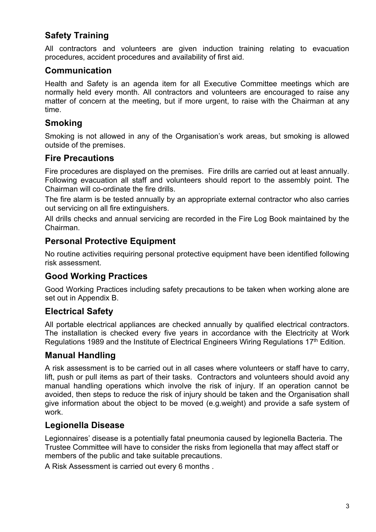# **Safety Training**

All contractors and volunteers are given induction training relating to evacuation procedures, accident procedures and availability of first aid.

## **Communication**

Health and Safety is an agenda item for all Executive Committee meetings which are normally held every month. All contractors and volunteers are encouraged to raise any matter of concern at the meeting, but if more urgent, to raise with the Chairman at any time.

#### **Smoking**

Smoking is not allowed in any of the Organisation's work areas, but smoking is allowed outside of the premises.

#### **Fire Precautions**

Fire procedures are displayed on the premises. Fire drills are carried out at least annually. Following evacuation all staff and volunteers should report to the assembly point. The Chairman will co-ordinate the fire drills.

The fire alarm is be tested annually by an appropriate external contractor who also carries out servicing on all fire extinguishers.

All drills checks and annual servicing are recorded in the Fire Log Book maintained by the Chairman.

#### **Personal Protective Equipment**

No routine activities requiring personal protective equipment have been identified following risk assessment.

#### **Good Working Practices**

Good Working Practices including safety precautions to be taken when working alone are set out in Appendix B.

#### **Electrical Safety**

All portable electrical appliances are checked annually by qualified electrical contractors. The installation is checked every five years in accordance with the Electricity at Work Regulations 1989 and the Institute of Electrical Engineers Wiring Regulations 17<sup>th</sup> Edition.

#### **Manual Handling**

A risk assessment is to be carried out in all cases where volunteers or staff have to carry, lift, push or pull items as part of their tasks. Contractors and volunteers should avoid any manual handling operations which involve the risk of injury. If an operation cannot be avoided, then steps to reduce the risk of injury should be taken and the Organisation shall give information about the object to be moved (e.g.weight) and provide a safe system of work.

#### **Legionella Disease**

Legionnaires' disease is a potentially fatal pneumonia caused by legionella Bacteria. The Trustee Committee will have to consider the risks from legionella that may affect staff or members of the public and take suitable precautions.

A Risk Assessment is carried out every 6 months .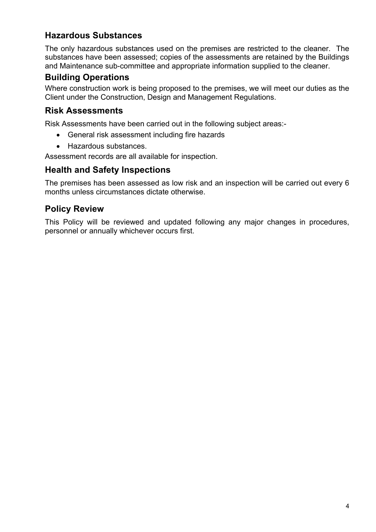## **Hazardous Substances**

The only hazardous substances used on the premises are restricted to the cleaner. The substances have been assessed; copies of the assessments are retained by the Buildings and Maintenance sub-committee and appropriate information supplied to the cleaner.

### **Building Operations**

Where construction work is being proposed to the premises, we will meet our duties as the Client under the Construction, Design and Management Regulations.

#### **Risk Assessments**

Risk Assessments have been carried out in the following subject areas:-

- General risk assessment including fire hazards
- Hazardous substances.

Assessment records are all available for inspection.

#### **Health and Safety Inspections**

The premises has been assessed as low risk and an inspection will be carried out every 6 months unless circumstances dictate otherwise.

#### **Policy Review**

This Policy will be reviewed and updated following any major changes in procedures, personnel or annually whichever occurs first.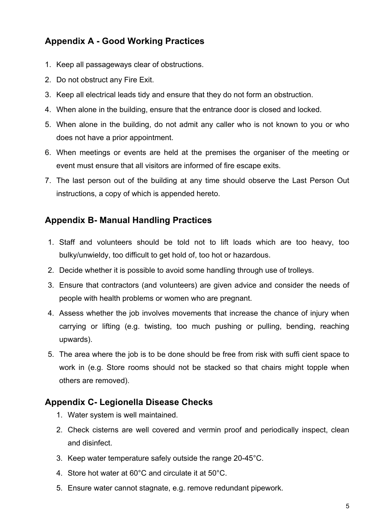# **Appendix A - Good Working Practices**

- 1. Keep all passageways clear of obstructions.
- 2. Do not obstruct any Fire Exit.
- 3. Keep all electrical leads tidy and ensure that they do not form an obstruction.
- 4. When alone in the building, ensure that the entrance door is closed and locked.
- 5. When alone in the building, do not admit any caller who is not known to you or who does not have a prior appointment.
- 6. When meetings or events are held at the premises the organiser of the meeting or event must ensure that all visitors are informed of fire escape exits.
- 7. The last person out of the building at any time should observe the Last Person Out instructions, a copy of which is appended hereto.

### **Appendix B- Manual Handling Practices**

- 1. Staff and volunteers should be told not to lift loads which are too heavy, too bulky/unwieldy, too difficult to get hold of, too hot or hazardous.
- 2. Decide whether it is possible to avoid some handling through use of trolleys.
- 3. Ensure that contractors (and volunteers) are given advice and consider the needs of people with health problems or women who are pregnant.
- 4. Assess whether the job involves movements that increase the chance of injury when carrying or lifting (e.g. twisting, too much pushing or pulling, bending, reaching upwards).
- 5. The area where the job is to be done should be free from risk with suffi cient space to work in (e.g. Store rooms should not be stacked so that chairs might topple when others are removed).

## **Appendix C- Legionella Disease Checks**

- 1. Water system is well maintained.
- 2. Check cisterns are well covered and vermin proof and periodically inspect, clean and disinfect.
- 3. Keep water temperature safely outside the range 20-45°C.
- 4. Store hot water at 60°C and circulate it at 50°C.
- 5. Ensure water cannot stagnate, e.g. remove redundant pipework.